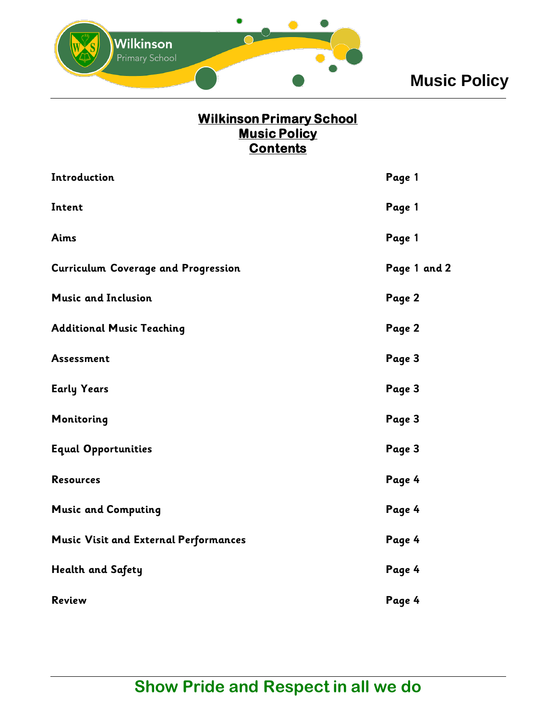

# **Music Policy**

### **Wilkinson Primary School Music Policy Contents**

| Introduction                                 | Page 1       |
|----------------------------------------------|--------------|
| Intent                                       | Page 1       |
| Aims                                         | Page 1       |
| <b>Curriculum Coverage and Progression</b>   | Page 1 and 2 |
| <b>Music and Inclusion</b>                   | Page 2       |
| <b>Additional Music Teaching</b>             | Page 2       |
| <b>Assessment</b>                            | Page 3       |
| <b>Early Years</b>                           | Page 3       |
| Monitoring                                   | Page 3       |
| <b>Equal Opportunities</b>                   | Page 3       |
| <b>Resources</b>                             | Page 4       |
| <b>Music and Computing</b>                   | Page 4       |
| <b>Music Visit and External Performances</b> | Page 4       |
| <b>Health and Safety</b>                     | Page 4       |
| <b>Review</b>                                | Page 4       |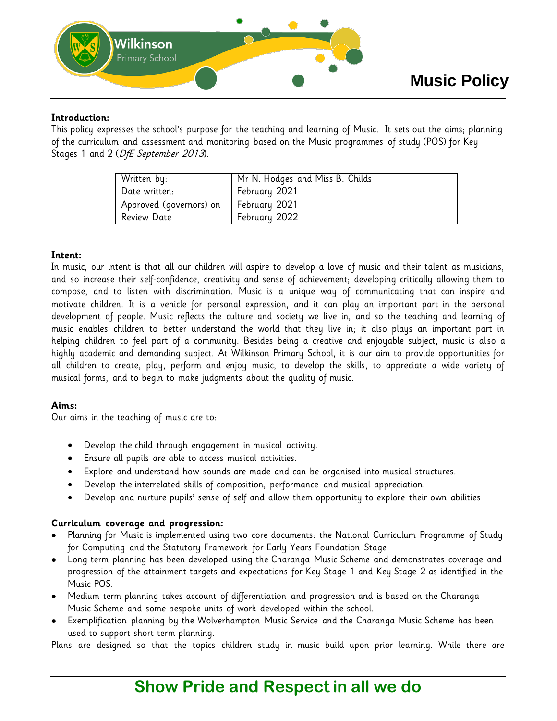

#### **Introduction:**

This policy expresses the school's purpose for the teaching and learning of Music. It sets out the aims; planning of the curriculum and assessment and monitoring based on the Music programmes of study (POS) for Key Stages 1 and 2 (DfE September 2013).

| Written by:             | Mr N. Hodges and Miss B. Childs |
|-------------------------|---------------------------------|
| Date written:           | February 2021                   |
| Approved (governors) on | February 2021                   |
| Review Date             | February 2022                   |

#### **Intent:**

In music, our intent is that all our children will aspire to develop a love of music and their talent as musicians, and so increase their self-confidence, creativity and sense of achievement; developing critically allowing them to compose, and to listen with discrimination. Music is a unique way of communicating that can inspire and motivate children. It is a vehicle for personal expression, and it can play an important part in the personal development of people. Music reflects the culture and society we live in, and so the teaching and learning of music enables children to better understand the world that they live in; it also plays an important part in helping children to feel part of a community. Besides being a creative and enjoyable subject, music is also a highly academic and demanding subject. At Wilkinson Primary School, it is our aim to provide opportunities for all children to create, play, perform and enjoy music, to develop the skills, to appreciate a wide variety of musical forms, and to begin to make judgments about the quality of music.

#### **Aims:**

Our aims in the teaching of music are to:

- Develop the child through engagement in musical activity.
- Ensure all pupils are able to access musical activities.
- Explore and understand how sounds are made and can be organised into musical structures.
- Develop the interrelated skills of composition, performance and musical appreciation.
- Develop and nurture pupils' sense of self and allow them opportunity to explore their own abilities

#### **Curriculum coverage and progression:**

- Planning for Music is implemented using two core documents: the National Curriculum Programme of Study for Computing and the Statutory Framework for Early Years Foundation Stage
- Long term planning has been developed using the Charanga Music Scheme and demonstrates coverage and progression of the attainment targets and expectations for Key Stage 1 and Key Stage 2 as identified in the Music POS.
- Medium term planning takes account of differentiation and progression and is based on the Charanga Music Scheme and some bespoke units of work developed within the school.
- Exemplification planning by the Wolverhampton Music Service and the Charanga Music Scheme has been used to support short term planning.

Plans are designed so that the topics children study in music build upon prior learning. While there are

### **Show Pride and Respect in all we do**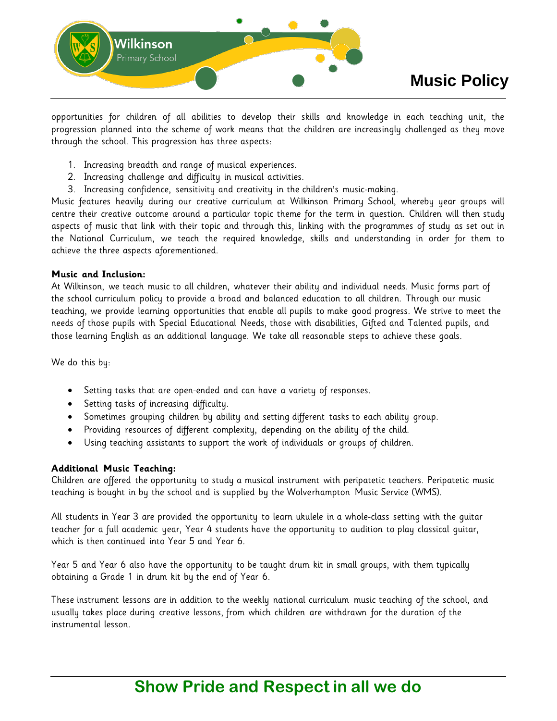

opportunities for children of all abilities to develop their skills and knowledge in each teaching unit, the progression planned into the scheme of work means that the children are increasingly challenged as they move through the school. This progression has three aspects:

- 1. Increasing breadth and range of musical experiences.
- 2. Increasing challenge and difficulty in musical activities.
- 3. Increasing confidence, sensitivity and creativity in the children's music-making.

Music features heavily during our creative curriculum at Wilkinson Primary School, whereby year groups will centre their creative outcome around a particular topic theme for the term in question. Children will then study aspects of music that link with their topic and through this, linking with the programmes of study as set out in the National Curriculum, we teach the required knowledge, skills and understanding in order for them to achieve the three aspects aforementioned.

#### **Music and Inclusion:**

At Wilkinson, we teach music to all children, whatever their ability and individual needs. Music forms part of the school curriculum policy to provide a broad and balanced education to all children. Through our music teaching, we provide learning opportunities that enable all pupils to make good progress. We strive to meet the needs of those pupils with Special Educational Needs, those with disabilities, Gifted and Talented pupils, and those learning English as an additional language. We take all reasonable steps to achieve these goals.

We do this by:

- Setting tasks that are open-ended and can have a variety of responses.
- Setting tasks of increasing difficulty.
- Sometimes grouping children by ability and setting different tasks to each ability group.
- Providing resources of different complexity, depending on the ability of the child.
- Using teaching assistants to support the work of individuals or groups of children.

#### **Additional Music Teaching:**

Children are offered the opportunity to study a musical instrument with peripatetic teachers. Peripatetic music teaching is bought in by the school and is supplied by the Wolverhampton Music Service (WMS).

All students in Year 3 are provided the opportunity to learn ukulele in a whole-class setting with the guitar teacher for a full academic year, Year 4 students have the opportunity to audition to play classical guitar, which is then continued into Year 5 and Year 6.

Year 5 and Year 6 also have the opportunity to be taught drum kit in small groups, with them typically obtaining a Grade 1 in drum kit by the end of Year 6.

These instrument lessons are in addition to the weekly national curriculum music teaching of the school, and usually takes place during creative lessons, from which children are withdrawn for the duration of the instrumental lesson.

## **Show Pride and Respect in all we do**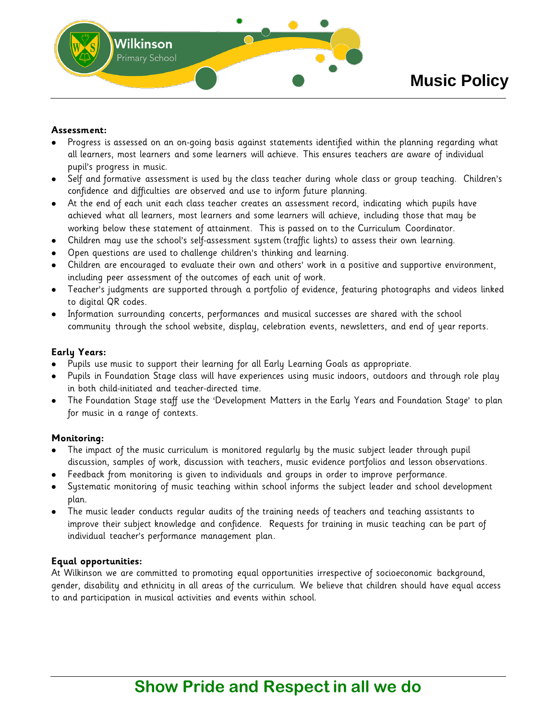

#### **Assessment:**

- Progress is assessed on an on-going basis against statements identified within the planning regarding what all learners, most learners and some learners will achieve. This ensures teachers are aware of individual pupil's progress in music.
- Self and formative assessment is used by the class teacher during whole class or group teaching. Children's confidence and difficulties are observed and use to inform future planning.
- At the end of each unit each class teacher creates an assessment record, indicating which pupils have achieved what all learners, most learners and some learners will achieve, including those that may be working below these statement of attainment. This is passed on to the Curriculum Coordinator.
- Children may use the school's self-assessment system (traffic lights) to assess their own learning.
- Open questions are used to challenge children's thinking and learning.
- Children are encouraged to evaluate their own and others' work in a positive and supportive environment, including peer assessment of the outcomes of each unit of work.
- Teacher's judgments are supported through a portfolio of evidence, featuring photographs and videos linked to digital QR codes.
- Information surrounding concerts, performances and musical successes are shared with the school community through the school website, display, celebration events, newsletters, and end of year reports.

#### **Early Years:**

- Pupils use music to support their learning for all Early Learning Goals as appropriate.
- Pupils in Foundation Stage class will have experiences using music indoors, outdoors and through role play in both child-initiated and teacher-directed time.
- The Foundation Stage staff use the 'Development Matters in the Early Years and Foundation Stage' to plan for music in a range of contexts.

#### **Monitoring:**

- The impact of the music curriculum is monitored regularly by the music subject leader through pupil discussion, samples of work, discussion with teachers, music evidence portfolios and lesson observations.
- Feedback from monitoring is given to individuals and groups in order to improve performance.
- Systematic monitoring of music teaching within school informs the subject leader and school development plan.
- The music leader conducts regular audits of the training needs of teachers and teaching assistants to improve their subject knowledge and confidence. Requests for training in music teaching can be part of individual teacher's performance management plan.

#### **Equal opportunities:**

At Wilkinson we are committed to promoting equal opportunities irrespective of socioeconomic background, gender, disability and ethnicity in all areas of the curriculum. We believe that children should have equal access to and participation in musical activities and events within school.

## **Show Pride and Respect in all we do**